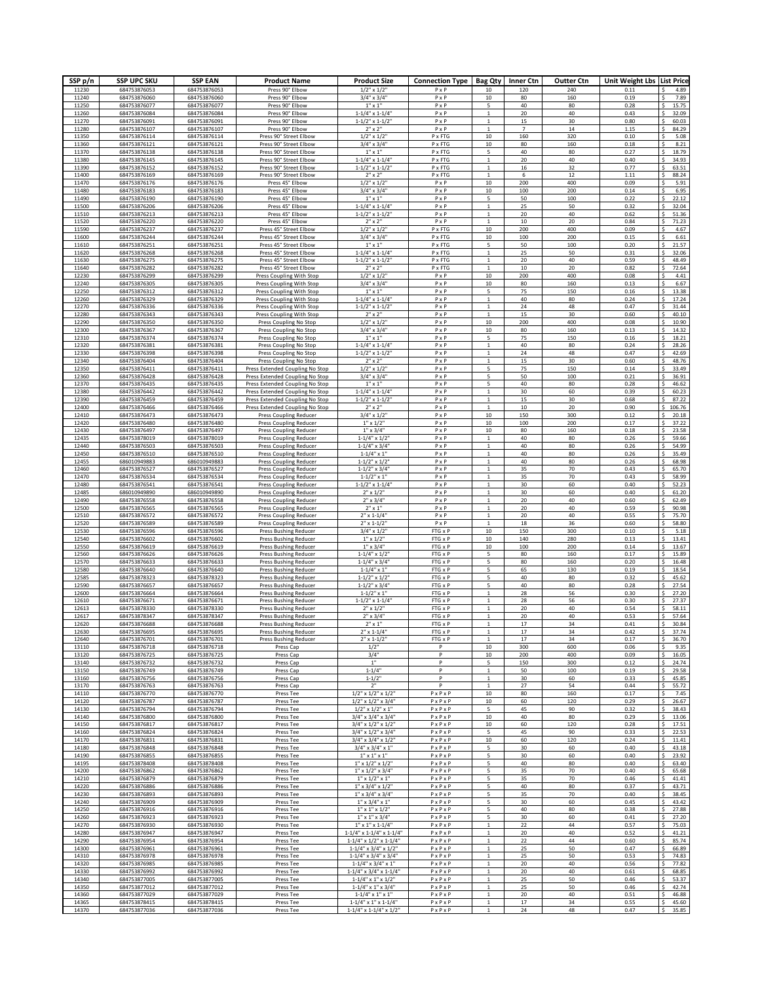| SSP p/n        | <b>SSP UPC SKU</b>           | <b>SSP EAN</b>               | <b>Product Name</b>                                                | <b>Product Size</b>                                                            | <b>Connection Type</b>                         | <b>Bag Qty</b>                 | <b>Inner Ctn</b>        | <b>Outter Ctn</b> | Unit Weight Lbs List Price |                                                |
|----------------|------------------------------|------------------------------|--------------------------------------------------------------------|--------------------------------------------------------------------------------|------------------------------------------------|--------------------------------|-------------------------|-------------------|----------------------------|------------------------------------------------|
| 11230<br>11240 | 684753876053<br>684753876060 | 684753876053<br>684753876060 | Press 90° Elbow<br>Press 90° Elbow                                 | $1/2$ " x $1/2$ "<br>$3/4" \times 3/4"$                                        | PxP<br>$P \times P$                            | 10<br>10                       | 120<br>80               | 240<br>160        | 0.11<br>0.19               | 4.89<br>s<br>7.89                              |
| 11250          | 684753876077                 | 684753876077                 | Press 90° Elbow                                                    | $1" \times 1"$                                                                 | $P \times P$                                   | 5                              | 40                      | 80                | 0.28                       | 15.75<br><sup>s</sup>                          |
| 11260<br>11270 | 684753876084<br>684753876091 | 684753876084<br>684753876091 | Press 90° Elbow<br>Press 90° Elbow                                 | $1 - 1/4$ " x $1 - 1/4$ "<br>$1 - 1/2$ " x $1 - 1/2$                           | $P \times P$<br>$P \times P$                   | $\mathbf{1}$<br>$\mathbf{1}$   | 20<br>$15\,$            | 40<br>30          | 0.43<br>0.80               | Ś<br>32.09<br>60.03                            |
| 11280          | 684753876107                 | 684753876107                 | Press 90° Elbow                                                    | $2" \times 2"$                                                                 | PxP                                            | $\mathbf{1}$                   | $\overline{\mathbf{7}}$ | 14                | 1.15                       | 84.29                                          |
| 11350<br>11360 | 684753876114<br>684753876121 | 684753876114<br>684753876121 | Press 90° Street Elbow<br>Press 90° Street Elbow                   | $1/2$ " x $1/2$ "<br>$3/4" \times 3/4"$                                        | P x FTG<br>P x FTG                             | $10\,$<br>$10\,$               | 160<br>80               | 320<br>160        | 0.10<br>0.18               | 5.08<br>.s<br>8.21                             |
| 11370          | 684753876138                 | 684753876138                 | Press 90° Street Elbow                                             | $1" \times 1"$                                                                 | P x FTG                                        | 5                              | 40                      | 80                | 0.27                       | 18.79                                          |
| 11380          | 684753876145                 | 684753876145                 | Press 90° Street Elbow                                             | $1 - 1/4$ " x $1 - 1/4$ "                                                      | P x FTG<br>P x FTG                             |                                | 20                      | 40                | 0.40<br>0.77               | 34.93                                          |
| 11390<br>11400 | 684753876152<br>684753876169 | 684753876152<br>684753876169 | Press 90° Street Elbow<br>Press 90° Street Elbow                   | $1 - 1/2$ " x $1 - 1/2$<br>$2" \times 2"$                                      | P x FTG                                        | 1<br>$\mathbf{1}$              | 16<br>6                 | 32<br>12          | 1.11                       | 63.51<br>88.24<br>S                            |
| 11470          | 684753876176                 | 684753876176                 | Press 45° Elbow                                                    | $1/2$ " x $1/2$ "                                                              | PxP                                            | 10                             | 200                     | 400               | 0.09                       | 5.91<br>.s                                     |
| 11480<br>11490 | 684753876183<br>684753876190 | 684753876183<br>684753876190 | Press 45° Elbow<br>Press 45° Elbow                                 | $3/4" \times 3/4"$<br>$1" \times 1"$                                           | $P \times P$<br>$P \times P$                   | 10<br>5                        | 100<br>50               | 200<br>100        | 0.14<br>0.22               | 6.95<br>22.12<br>Ŝ                             |
| 11500          | 684753876206                 | 684753876206                 | Press 45° Elbow                                                    | $1 - 1/4" \times 1 - 1/4"$                                                     | PxP                                            | $\overline{1}$                 | 25                      | 50                | 0.32                       | 32.04                                          |
| 11510<br>11520 | 684753876213<br>684753876220 | 684753876213<br>684753876220 | Press 45° Elbow<br>Press 45° Elbow                                 | $1 - 1/2" \times 1 - 1/2"$<br>$2'' \times 2''$                                 | PxP<br>$P \times P$                            | $\overline{1}$                 | 20<br>10                | 40<br>20          | 0.62<br>0.84               | 51.36<br>71.23                                 |
| 11590          | 684753876237                 | 684753876237                 | Press 45° Street Elbow                                             | $1/2$ " x $1/2$ "                                                              | P x FTG                                        | 10                             | 200                     | 400               | 0.09                       | 4.67                                           |
| 11600          | 684753876244                 | 684753876244                 | Press 45° Street Elbow                                             | $3/4" \times 3/4"$                                                             | P x FTG                                        | 10                             | 100                     | 200               | 0.15                       | 6.61                                           |
| 11610<br>11620 | 684753876251<br>684753876268 | 684753876252<br>684753876268 | Press 45° Street Elbow<br>Press 45° Street Elbow                   | $1" \times 1"$<br>$1 - 1/4" \times 1 - 1/4"$                                   | P x FTG<br>P x FTG                             | 5<br>$\mathbf{1}$              | 50<br>25                | 100<br>50         | 0.20<br>0.31               | 21.57<br>32.06                                 |
| 11630          | 684753876275                 | 684753876275                 | Press 45° Street Elbow                                             | $1 - 1/2$ " x $1 - 1/2$ "                                                      | P x FTG                                        | $\mathbf{1}$                   | 20                      | 40                | 0.59                       | Ś<br>48.49                                     |
| 11640          | 684753876282                 | 684753876282                 | Press 45° Street Elbow                                             | $2'' \times 2''$                                                               | $P \times FTG$                                 | $\mathbf{1}$                   | $10\,$                  | 20                | 0.82                       | 72.64<br>Ŝ                                     |
| 12230<br>12240 | 684753876299<br>684753876305 | 684753876299<br>684753876305 | Press Coupling With Stop<br>Press Coupling With Stop               | $1/2$ " x $1/2$ "<br>$3/4" \times 3/4"$                                        | $P \times P$<br>$P \times P$                   | 10<br>10                       | 200<br>80               | 400<br>160        | 0.08<br>0.13               | 4.41<br>6.67<br>Ŝ                              |
| 12250          | 684753876312                 | 684753876312                 | Press Coupling With Stop                                           | $1''$ x $1''$                                                                  | PxP                                            | 5                              | 75                      | 150               | 0.16                       | 13.38<br>.s                                    |
| 12260<br>12270 | 684753876329<br>684753876336 | 684753876329<br>684753876336 | Press Coupling With Stop<br>Press Coupling With Stop               | $1 - 1/4" \times 1 - 1/4"$<br>$1 - 1/2$ " x $1 - 1/2$ "                        | PxP<br>$P \times P$                            | $\mathbf{1}$<br>$\mathbf{1}$   | 40<br>24                | 80<br>48          | 0.24<br>0.47               | 17.24<br><sup>s</sup><br><sup>s</sup><br>31.44 |
| 12280          | 684753876343                 | 684753876343                 | Press Coupling With Stop                                           | $2" \times 2"$                                                                 | $P \times P$                                   |                                | 15                      | 30                | 0.60                       | 40.10                                          |
| 12290          | 684753876350<br>684753876367 | 684753876350                 | Press Coupling No Stop                                             | $1/2$ " x $1/2$ "                                                              | $P \times P$                                   | $10\,$<br>$10\,$               | 200<br>80               | 400               | 0.08<br>0.13               | 10.90<br>14.32<br><b>S</b>                     |
| 12300<br>12310 | 684753876374                 | 684753876367<br>684753876374 | Press Coupling No Stop<br>Press Coupling No Stop                   | $3/4" \times 3/4"$<br>$1" \times 1"$                                           | $P \times P$<br>PxP                            | 5                              | 75                      | 160<br>150        | 0.16                       | 18.21                                          |
| 12320          | 684753876381                 | 684753876381                 | Press Coupling No Stop                                             | $1 - 1/4" \times 1 - 1/4"$                                                     | PxP                                            | $\mathbf{1}$                   | 40                      | 80                | 0.24                       | 28.26                                          |
| 12330<br>12340 | 684753876398<br>684753876404 | 684753876398<br>684753876404 | Press Coupling No Stop<br>Press Coupling No Stop                   | $1 - 1/2$ " x $1 - 1/2$ "<br>$2'' \times 2''$                                  | PxP<br>PxP                                     | $\mathbf{1}$<br>1              | 24<br>15                | 48<br>30          | 0.47<br>0.60               | 42.69<br>48.76                                 |
| 12350          | 684753876411                 | 684753876411                 | Press Extended Coupling No Stop                                    | $1/2$ " x $1/2$ "                                                              | $P \times P$                                   | 5                              | 75                      | 150               | 0.14                       | 33.49<br>S                                     |
| 12360<br>12370 | 684753876428<br>684753876435 | 684753876428<br>684753876435 | Press Extended Coupling No Stop<br>Press Extended Coupling No Stop | $3/4" \times 3/4"$<br>$1" \times 1"$                                           | $P \times P$<br>$P \times P$                   | 5<br>5                         | 50<br>40                | 100<br>80         | 0.21<br>0.28               | 36.91<br>Ŝ<br>46.62                            |
| 12380          | 684753876442                 | 684753876442                 | Press Extended Coupling No Stop                                    | $1 - 1/4$ " x $1 - 1/4$ "                                                      | $P \times P$                                   |                                | 30                      | 60                | 0.39                       | 60.23<br>Ŝ                                     |
| 12390          | 684753876459                 | 684753876459                 | Press Extended Coupling No Stop                                    | $1 - 1/2" \times 1 - 1/2"$                                                     | PxP                                            |                                | 15                      | 30                | 0.68                       | 87.22                                          |
| 12400<br>12410 | 684753876466<br>684753876473 | 684753876466<br>684753876473 | Press Extended Coupling No Stop<br><b>Press Coupling Reducer</b>   | $2" \times 2"$<br>$3/4$ " x $1/2$                                              | $P \times P$<br>$P \times P$                   | 10                             | 10<br>150               | 20<br>300         | 0.90<br>0.12               | 106.76<br>20.18                                |
| 12420          | 684753876480                 | 684753876480                 | Press Coupling Reducer                                             | $1''$ x $1/2''$                                                                | PxP                                            | $10\,$                         | 100                     | 200               | 0.17                       | 37.22                                          |
| 12430<br>12435 | 684753876497<br>684753878019 | 684753876497<br>684753878019 | <b>Press Coupling Reducer</b><br><b>Press Coupling Reducer</b>     | $1''$ x $3/4''$<br>$1 - 1/4" \times 1/2'$                                      | PxP<br>PxP                                     | $10\,$<br>$\mathbf{1}$         | 80<br>40                | 160<br>80         | 0.18<br>0.26               | 23.58<br>59.66                                 |
| 12440          | 684753876503                 | 684753876503                 | <b>Press Coupling Reducer</b>                                      | $1 - 1/4$ " x $3/4$ "                                                          | PxP                                            | $\mathbf{1}$                   | 40                      | 80                | 0.26                       | 54.99                                          |
| 12450          | 684753876510                 | 684753876510                 | <b>Press Coupling Reducer</b>                                      | $1 - 1/4$ " x 1"                                                               | PxP                                            | $\mathbf{1}$                   | 40                      | 80                | 0.26                       | 35.49<br>Ŝ                                     |
| 12455<br>12460 | 686010949883<br>684753876527 | 686010949883<br>684753876527 | <b>Press Coupling Reducer</b><br><b>Press Coupling Reducer</b>     | $1 - 1/2$ " x $1/2$ "<br>$1 - 1/2" \times 3/4'$                                | $P \times P$<br>PxP                            | $\mathbf{1}$<br>$\mathbf{1}$   | 40<br>35                | 80<br>70          | 0.26<br>0.43               | 68.98<br>65.70                                 |
| 12470          | 684753876534                 | 684753876534                 | Press Coupling Reducer                                             | $1 - 1/2$ " x 1"                                                               | $P \times P$                                   | $\mathbf{1}$                   | 35                      | 70                | 0.43                       | 58.99<br>Ŝ                                     |
| 12480<br>12485 | 684753876541<br>686010949890 | 684753876541<br>686010949890 | <b>Press Coupling Reducer</b><br>Press Coupling Reducer            | $1 - 1/2" \times 1 - 1/4"$<br>$2" \times 1/2"$                                 | PxP<br>$P \times P$                            | $\overline{1}$<br>$\mathbf{1}$ | 30<br>30                | 60<br>60          | 0.40<br>0.40               | 52.23<br>61.20                                 |
| 12490          | 684753876558                 | 684753876558                 | Press Coupling Reducer                                             | $2" \times 3/4"$                                                               | PxP                                            | $\mathbf{1}$                   | 20                      | 40                | 0.60                       | Ś<br>62.49                                     |
| 12500          | 684753876565                 | 684753876565                 | <b>Press Coupling Reducer</b>                                      | $2" \times 1"$                                                                 | $P \times P$                                   | $\overline{1}$                 | 20                      | 40                | 0.59                       | 90.98                                          |
| 12510<br>12520 | 684753876572<br>684753876589 | 684753876572<br>684753876589 | <b>Press Coupling Reducer</b><br><b>Press Coupling Reducer</b>     | $2''$ x 1-1/4'<br>$2''$ x 1-1/2'                                               | PxP<br>$P \times P$                            | $\mathbf{1}$<br>$\mathbf{1}$   | $20\,$<br>$18\,$        | 40<br>36          | 0.55<br>0.60               | 75.70<br>58.80<br><b>S</b>                     |
| 12530          | 684753876596                 | 684753876596                 | Press Bushing Reducer                                              | $3/4$ " x $1/2$ "                                                              | FTG x P                                        | 10                             | 150                     | 300               | 0.10                       | 5.18                                           |
| 12540<br>12550 | 684753876602<br>684753876619 | 684753876602<br>684753876619 | Press Bushing Reducer<br><b>Press Bushing Reducer</b>              | $1''$ x $1/2''$<br>$1''$ x $3/4''$                                             | FTG x P<br>FTG x P                             | 10<br>10                       | 140<br>100              | 280<br>200        | 0.13<br>0.14               | 13.41<br>13.67                                 |
| 12560          | 684753876626                 | 684753876626                 | <b>Press Bushing Reducer</b>                                       | $1 - 1/4$ " x $1/2$                                                            | FTG x P                                        | 5                              | 80                      | 160               | 0.17                       | 15.89                                          |
| 12570          | 684753876633                 | 684753876633                 | Press Bushing Reducer                                              | $1 - 1/4" \times 3/4'$                                                         | FTG x P                                        | 5                              | 80                      | 160               | 0.20                       | 16.48<br>\$.                                   |
| 12580<br>12585 | 684753876640<br>684753878323 | 684753876640<br>684753878323 | Press Bushing Reducer<br>Press Bushing Reducer                     | $1 - 1/4" \times 1"$<br>$1 - 1/2" \times 1/2"$                                 | FTG x P<br>FTG x P                             | 5<br>5                         | 65<br>40                | 130<br>80         | 0.19<br>0.32               | 18.54<br>Ŝ<br>45.62                            |
| 12590          | 684753876657                 | 684753876657                 | Press Bushing Reducer                                              | $1 - 1/2$ " x 3/4'                                                             | FTG x P                                        | 5                              | 40                      | 80                | 0.28                       | 27.54<br>Ŝ                                     |
| 12600<br>12610 | 684753876664<br>684753876671 | 684753876664<br>684753876671 | Press Bushing Reducer<br>Press Bushing Reducer                     | $1 - 1/2" \times 1"$<br>$1 - 1/2$ " x $1 - 1/4$ "                              | FTG x P<br>FTG x P                             |                                | 28<br>28                | 56<br>56          | 0.30<br>0.30               | 27.20<br>27.37                                 |
| 12613          | 684753878330                 | 684753878330                 | Press Bushing Reducer                                              | $2'' \times 1/2''$                                                             | FTG x P                                        |                                | 20                      | 40                | 0.54                       | 58.11                                          |
| 12617<br>12620 | 684753878347<br>684753876688 | 684753878347<br>684753876688 | Press Bushing Reducer<br>Press Bushing Reducer                     | $2'' \times 3/4'$<br>$2"$ x 1"                                                 | FTG x P<br>FTG x P                             |                                | 20<br>17                | 40<br>34          | 0.53<br>0.41               | 57.64<br>30.84                                 |
|                |                              |                              |                                                                    |                                                                                |                                                |                                |                         |                   |                            |                                                |
| 12640          | 684753876701                 | 684753876701                 | <b>Press Bushing Reducer</b>                                       | $2''$ x 1-1/2"                                                                 | FTG x P                                        | $\overline{1}$                 | 17                      | 34                | 0.17                       | \$<br>36.70                                    |
| 13110<br>13120 | 684753876718<br>684753876725 | 684753876718<br>684753876725 | Press Cap<br>Press Cap                                             | $1/2$ "<br>3/4"                                                                | P<br>$\, {\sf p}$                              | 10<br>$10\,$                   | 300<br>200              | 600<br>400        | 0.06<br>0.09               | Ś<br>9.35<br>16.05<br>\$                       |
| 13140          | 684753876732                 | 684753876732                 | Press Cap                                                          | $1^{\rm n}$                                                                    | $\, {\sf p}$                                   | 5                              | 150                     | 300               | 0.12                       | \$.<br>24.74                                   |
| 13150<br>13160 | 684753876749<br>684753876756 | 684753876749<br>684753876756 | Press Cap<br>Press Cap                                             | $1 - 1/4'$<br>$1 - 1/2$                                                        | P<br>P                                         | $\mathbf{1}$<br>$\mathbf{1}$   | 50<br>30                | 100<br>60         | 0.19<br>0.33               | 29.58<br>\$.<br>45.85<br>.s                    |
| 13170          | 684753876763                 | 684753876763                 | Press Cap                                                          | 2"                                                                             | P                                              | $\mathbf{1}$                   | 27                      | 54                | 0.44                       | .s<br>55.72                                    |
| 14110<br>14120 | 684753876770<br>684753876787 | 684753876770<br>684753876787 | Press Tee                                                          | $1/2$ " x $1/2$ " x $1/2$ "<br>$1/2$ " x $1/2$ " x $3/4$ "                     | $P \times P \times P$                          | 10<br>10                       | 80<br>60                | 160<br>120        | 0.17<br>0.29               | Ś<br>7.45                                      |
| 14130          | 684753876794                 | 684753876794                 | Press Tee<br>Press Tee                                             | $1/2$ " x $1/2$ " x $1$ "                                                      | $P \times P \times P$<br>$P \times P \times P$ | 5                              | 45                      | 90                | 0.32                       | 26.67<br>38.43                                 |
| 14140          | 684753876800                 | 684753876800                 | Press Tee                                                          | $3/4"$ x $3/4"$ x $3/4"$                                                       | $P \times P \times P$                          | 10                             | 40                      | 80                | 0.29                       | Ś<br>13.06                                     |
| 14150<br>14160 | 684753876817<br>684753876824 | 684753876817<br>684753876824 | Press Tee<br>Press Tee                                             | $3/4"$ x $1/2"$ x $1/2"$<br>$3/4"$ x $1/2"$ x $3/4"$                           | $P \times P \times P$<br>$P \times P \times P$ | $10\,$<br>5                    | 60<br>45                | 120<br>90         | 0.28<br>0.33               | 17.51<br><sup>s</sup><br>22.53                 |
| 14170          | 684753876831                 | 684753876831                 | Press Tee                                                          | $3/4$ " x $3/4$ " x $1/2$ "                                                    | $P \times P \times P$                          | 10                             | 60                      | 120               | 0.24                       | <sup>s</sup><br>11.41                          |
| 14180<br>14190 | 684753876848<br>684753876855 | 684753876848<br>684753876855 | Press Tee                                                          | $3/4$ " x $3/4$ " x 1"<br>$1''$ x $1''$ x $1''$                                | $P \times P \times P$<br>$P \times P \times P$ | 5                              | 30<br>30                | 60<br>60          | 0.40<br>0.40               | 43.18<br>23.92                                 |
| 14195          | 684753878408                 | 684753878408                 | Press Tee<br>Press Tee                                             | $1''$ x $1/2''$ x $1/2''$                                                      | $P \times P \times P$                          | 5<br>5                         | 40                      | 80                | 0.40                       | S<br>63.40<br>\$.                              |
| 14200          | 684753876862                 | 684753876862                 | Press Tee                                                          | $1''$ x $1/2''$ x $3/4''$                                                      | $P \times P \times P$                          | 5                              | 35                      | 70                | 0.40                       | 65.68                                          |
| 14210<br>14220 | 684753876879<br>684753876886 | 684753876879<br>684753876886 | Press Tee<br>Press Tee                                             | $1''$ x $1/2''$ x $1''$<br>$1''$ x $3/4''$ x $1/2''$                           | $P \times P \times P$<br>$P \times P \times P$ | 5<br>5                         | 35<br>40                | 70<br>80          | 0.46<br>0.37               | 41.41<br>.s<br>43.71                           |
| 14230          | 684753876893                 | 684753876893                 | Press Tee                                                          | $1''$ x 3/4" x 3/4"                                                            | $P \times P \times P$                          | $\overline{\phantom{a}}$       | 35                      | 70                | 0.40                       | 38.45                                          |
| 14240          | 684753876909                 | 684753876909                 | Press Tee                                                          | $1" \times 3/4" \times 1"$                                                     | $P \times P \times P$                          | $\overline{\phantom{a}}$<br>5  | 30                      | 60                | 0.45                       | 43.42<br>27.88<br><sup>s</sup>                 |
| 14250<br>14260 | 684753876916<br>684753876923 | 684753876916<br>684753876923 | Press Tee<br>Press Tee                                             | $1''$ x $1''$ x $1/2''$<br>$1''$ x $1''$ x $3/4''$                             | $P \times P \times P$<br>$P \times P \times P$ | 5                              | 40<br>30                | 80<br>60          | 0.38<br>0.41               | 27.20                                          |
| 14270          | 684753876930                 | 684753876930                 | Press Tee                                                          | $1''$ x $1''$ x $1 - 1/4''$                                                    | $P \times P \times P$                          |                                | 22                      | 44                | 0.57                       | 75.03                                          |
| 14280<br>14290 | 684753876947<br>684753876954 | 684753876947<br>684753876954 | Press Tee<br>Press Tee                                             | $1 - 1/4$ " x $1 - 1/4$ " x $1 - 1/4$ "<br>$1 - 1/4$ " x $1/2$ " x $1 - 1/4$ " | $P \times P \times P$<br>$P \times P \times P$ | $\mathbf{1}$<br>$\mathbf{1}$   | 20<br>22                | 40<br>44          | 0.52<br>0.60               | <sup>s</sup><br>41.21<br>85.74<br>Ŝ            |
| 14300          | 684753876961                 | 684753876961                 | Press Tee                                                          | $1 - 1/4$ " x $3/4$ " x $1/2$ "                                                | $P \times P \times P$                          | 1                              | 25                      | 50                | 0.47                       | 66.89<br>.s                                    |
| 14310<br>14320 | 684753876978<br>684753876985 | 684753876978<br>684753876985 | Press Tee<br>Press Tee                                             | $1 - 1/4$ " x $3/4$ " x $3/4$ "<br>$1 - 1/4$ " x 3/4" x 1"                     | $P \times P \times P$<br>$P \times P \times P$ | $\mathbf{1}$<br>$\mathbf{1}$   | 25<br>20                | 50<br>40          | 0.53<br>0.56               | 74.83<br>\$.<br>77.82<br>\$.                   |
| 14330          | 684753876992                 | 684753876992                 | Press Tee                                                          | 1-1/4" x 3/4" x 1-1/4"                                                         | $P \times P \times P$                          | $\overline{1}$                 | 20                      | 40                | 0.61                       | 68.85<br>.s                                    |
| 14340          | 684753877005                 | 684753877005                 | Press Tee                                                          | $1 - 1/4$ " x $1$ " x $1/2$ "                                                  | $P \times P \times P$                          | $\mathbf{1}$                   | 25                      | 50                | 0.46                       | <sup>s</sup><br>53.37                          |
| 14350<br>14360 | 684753877012<br>684753877029 | 684753877012<br>684753877029 | Press Tee<br>Press Tee                                             | $1 - 1/4" \times 1" \times 3/4"$<br>$1 - 1/4$ " x $1$ " x $1$ "                | $P \times P \times P$<br>$P \times P \times P$ | $\mathbf{1}$<br>$\overline{1}$ | 25<br>20                | 50<br>40          | 0.46<br>0.51               | Ś<br>42.74<br>46.88<br>Ś                       |
| 14365          | 684753878415                 | 684753878415                 | Press Tee                                                          | $1 - 1/4$ " x $1$ " x $1 - 1/4$ "                                              | $P \times P \times P$                          | $\mathbf{1}$                   | 17                      | 34                | 0.55                       | Ś<br>45.60                                     |
| 14370          | 684753877036                 | 684753877036                 | Press Tee                                                          | $1 - 1/4$ " x $1 - 1/4$ " x $1/2$ "                                            | $P \times P \times P$                          |                                | 24                      | 48                | 0.47                       | 35.85<br>.s                                    |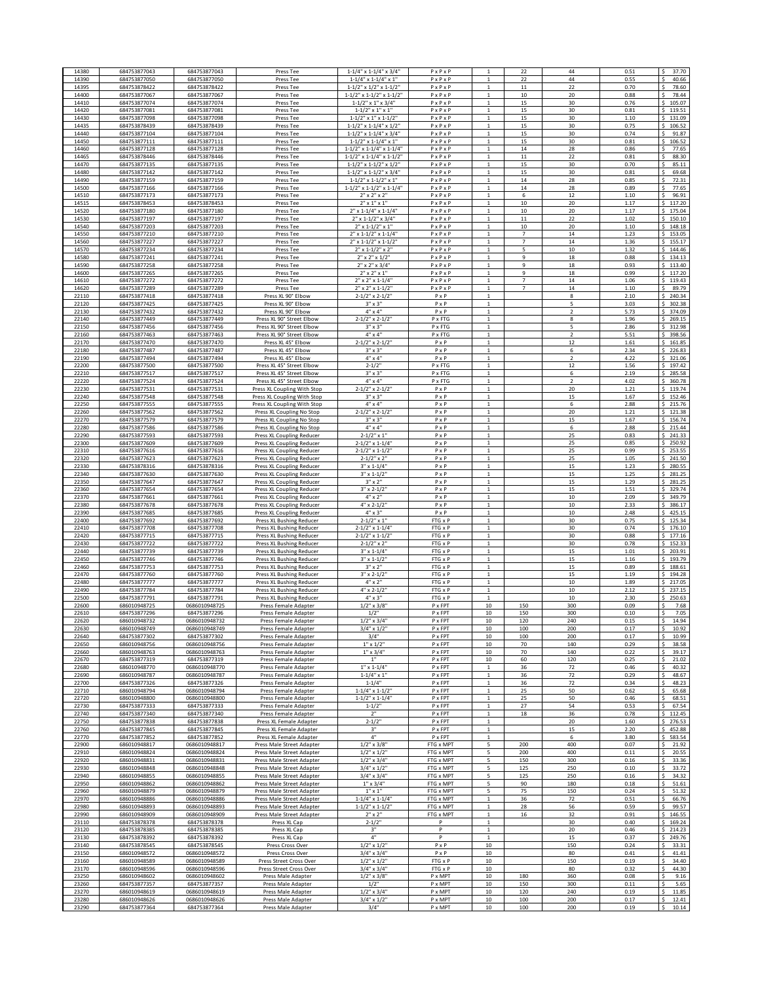| 14380          | 684753877043                 | 684753877043                   |                                                        |                                                                          | $P \times P \times P$                          |                                  |                | 44                  | 0.51         | 37.70                       |
|----------------|------------------------------|--------------------------------|--------------------------------------------------------|--------------------------------------------------------------------------|------------------------------------------------|----------------------------------|----------------|---------------------|--------------|-----------------------------|
| 14390          | 684753877050                 | 684753877050                   | Press Tee                                              | 1-1/4" x 1-1/4" x 3/4"                                                   | $P \times P \times P$                          |                                  | 22             |                     |              | Ŝ                           |
| 14395          | 684753878422                 | 684753878422                   | Press Tee<br>Press Tee                                 | $1 - 1/4$ " x $1 - 1/4$ " x $1$ "<br>$1 - 1/2$ " x $1/2$ " x $1 - 1/2$ " | $P \times P \times P$                          |                                  | 22<br>11       | 44<br>22            | 0.55<br>0.70 | 40.66<br>78.60              |
| 14400          | 684753877067                 | 684753877067                   |                                                        | $1 - 1/2$ " x $1 - 1/2$ " x $1 - 1/2$ "                                  | $P \times P \times P$                          | -1                               | 10             | 20                  | 0.88         | 78.44                       |
| 14410          | 684753877074                 | 684753877074                   | Press Tee<br>Press Tee                                 | $1 - 1/2$ " x $1$ " x $3/4$ "                                            | $P \times P \times P$                          |                                  | 15             | 30                  | 0.76         | 105.07                      |
| 14420          | 684753877081                 | 684753877081                   | Press Tee                                              | $1 - 1/2" \times 1" \times 1"$                                           | $P \times P \times P$                          | $\mathbf{1}$                     | 15             | 30                  | 0.81         | 119.51<br>\$                |
| 14430          | 684753877098                 | 684753877098                   | Press Tee                                              | $1 - 1/2$ " x $1$ " x $1 - 1/2$ "                                        | $P \times P \times P$                          | $\mathbf{1}$                     | 15             | 30                  | 1.10         | 131.09<br>s                 |
| 14435          | 684753878439                 | 684753878439                   | Press Tee                                              | $1 - 1/2$ " x $1 - 1/4$ " x $1/2$ "                                      | $P \times P \times P$                          |                                  | 15             | 30                  | 0.75         | 106.52<br>-S                |
| 14440          | 684753877104                 | 684753877104                   | Press Tee                                              | $1 - 1/2$ " x $1 - 1/4$ " x $3/4$ "                                      | $P \times P \times P$                          |                                  | 15             | 30                  | 0.74         | 91.87<br><sup>s</sup>       |
| 14450          | 684753877111                 | 684753877111                   | Press Tee                                              | $1 - 1/2$ " x $1 - 1/4$ " x $1$ "                                        | $P \times P \times P$                          |                                  | 15             | 30                  | 0.81         | \$<br>106.52                |
| 14460          | 684753877128                 | 684753877128                   | Press Tee                                              | $1 - 1/2$ " x $1 - 1/4$ " x $1 - 1/4$ "                                  | $P \times P \times P$                          |                                  | 14             | 28                  | 0.86         | 77.65                       |
| 14465          | 684753878446                 | 684753878446                   | Press Tee                                              | $1 - 1/2$ " x $1 - 1/4$ " x $1 - 1/2$ "                                  | PxPxP                                          |                                  | $11$           | 22                  | 0.81         | 88.30                       |
| 14470          | 684753877135                 | 684753877135                   | Press Tee                                              | $1 - 1/2$ " x $1 - 1/2$ " x $1/2$ "                                      | PxPxP                                          | $\mathbf{1}$                     | 15             | 30                  | 0.70         | <sup>s</sup><br>85.11       |
| 14480          | 684753877142                 | 684753877142                   | Press Tee                                              | $1 - 1/2$ " x $1 - 1/2$ " x $3/4$ "                                      | $P \times P \times P$                          |                                  | 15             | 30                  | 0.81         | 69.68                       |
| 14490          | 684753877159                 | 684753877159                   | Press Tee                                              | $1 - 1/2$ " x $1 - 1/2$ " x $1$ "                                        | $P \times P \times P$                          | $\mathbf{1}$                     | 14             | 28                  | 0.85         | 72.31                       |
| 14500          | 684753877166                 | 684753877166                   | Press Tee                                              | $1 - 1/2$ " x $1 - 1/2$ " x $1 - 1/4$ "                                  | $P \times P \times P$                          | 1                                | 14             | 28                  | 0.89         | Ś<br>77.65                  |
| 14510          | 684753877173                 | 684753877173                   | Press Tee                                              | $2''$ x $2''$ x $2''$                                                    | $P \times P \times P$                          | 1                                | 6              | 12                  | 1.10         | 96.91<br>Ś                  |
| 14515          | 684753878453<br>684753877180 | 684753878453                   | Press Tee                                              | $2''$ x $1''$ x $1'$                                                     | $P \times P \times P$                          | $\mathbf{1}$<br>$\mathbf{1}$     | $10\,$         | 20                  | 1.17         | 117.20<br>\$                |
| 14520<br>14530 | 684753877197                 | 684753877180<br>684753877197   | Press Tee                                              | 2" x 1-1/4" x 1-1/4"<br>2" x 1-1/2" x 3/4"                               | $P \times P \times P$<br>$P \times P \times P$ |                                  | 10<br>$11\,$   | 20<br>22            | 1.17<br>1.02 | 175.04<br>\$<br>150.10<br>Ŝ |
| 14540          | 684753877203                 | 684753877203                   | Press Tee<br>Press Tee                                 | $2''$ x 1-1/2" x 1"                                                      | $P \times P \times P$                          |                                  | 10             | 20                  | 1.10         | s.<br>148.18                |
| 14550          | 684753877210                 | 684753877210                   | Press Tee                                              | 2" x 1-1/2" x 1-1/4"                                                     | $P \times P \times P$                          |                                  | $\overline{7}$ | 14                  | 1.23         | s.<br>153.05                |
| 14560          | 684753877227                 | 684753877227                   | Press Tee                                              | $2''$ x 1-1/2" x 1-1/2"                                                  | $P \times P \times P$                          |                                  | $\overline{7}$ | 14                  | 1.36         | 155.17<br>Ś                 |
| 14570          | 684753877234                 | 684753877234                   | Press Tee                                              | $2''$ x 1-1/2" x 2"                                                      | $P \times P \times P$                          |                                  | 5              | $10\,$              | 1.32         | 144.46<br>Ś                 |
| 14580          | 684753877241                 | 684753877241                   | Press Tee                                              | $2''$ x $2''$ x $1/2''$                                                  | $P \times P \times P$                          |                                  | 9              | 18                  | 0.88         | 134.13<br>Š.                |
| 14590          | 684753877258                 | 684753877258                   | Press Tee                                              | $2'' \times 2'' \times 3/4'$                                             | $P \times P \times P$                          |                                  | 9              | 18                  | 0.93         | 113.40                      |
| 14600          | 684753877265                 | 684753877265                   | Press Tee                                              | $2''$ x $2''$ x $1''$                                                    | $P \times P \times P$                          |                                  | 9              | 18                  | 0.99         | 117.20<br>\$.               |
| 14610          | 684753877272                 | 684753877272                   | Press Tee                                              | 2" x 2" x 1-1/4"                                                         | $P \times P \times P$                          |                                  | $\overline{7}$ | 14                  | 1.06         | 119.43                      |
| 14620          | 684753877289                 | 684753877289                   | Press Tee                                              | $2''$ x $2''$ x 1-1/2                                                    | $P \times P \times P$                          | -1                               | $\overline{7}$ | 14                  | 1.10         | 89.79                       |
| 22110          | 684753877418                 | 684753877418                   | Press XL 90° Elbow                                     | $2 - 1/2$ " x 2-1/2                                                      | PxP                                            |                                  |                | 8                   | 2.10         | 240.34                      |
| 22120          | 684753877425                 | 684753877425                   | Press XL 90° Elbow                                     | $3" \times 3"$                                                           | $P \times P$                                   | $\mathbf{1}$                     |                | 5                   | 3.03         | 302.38<br>\$                |
| 22130          | 684753877432                 | 684753877432                   | Press XL 90° Elbow                                     | $4" \times 4"$                                                           | PxP                                            | $\overline{1}$                   |                | $\overline{2}$      | 5.73         | 374.09<br>s                 |
| 22140          | 684753877449                 | 684753877449                   | Press XL 90° Street Elbow                              | $2 - 1/2$ " x $2 - 1/2$                                                  | P x FTG                                        |                                  |                | 8                   | 1.96         | 269.15<br>s.                |
| 22150<br>22160 | 684753877456<br>684753877463 | 684753877456<br>684753877463   | Press XL 90° Street Elbow                              | $3'' \times 3''$<br>4" x 4"                                              | P x FTG                                        | $\overline{1}$<br>$\overline{1}$ |                | 5<br>$\overline{2}$ | 2.86<br>5.51 | \$312.98<br>\$              |
| 22170          |                              | 684753877470                   | Press XL 90° Street Elbow                              |                                                                          | P x FTG<br>PxP                                 |                                  |                | 12                  |              | 398.56<br>¢                 |
| 22180          | 684753877470<br>684753877487 | 684753877487                   | Press XL 45° Elbow<br>Press XL 45° Elbow               | $2 - 1/2$ " x $2 - 1/2$<br>$3" \times 3"$                                | PxP                                            | $\mathbf 1$                      |                | 6                   | 1.61<br>2.34 | 161.85<br>226.83<br>Ś       |
| 22190          | 684753877494                 | 684753877494                   | Press XL 45° Elbow                                     | 4" x 4"                                                                  | PxP                                            | $\mathbf 1$                      |                | $\overline{2}$      | 4.22         | s.<br>321.06                |
| 22200          | 684753877500                 | 684753877500                   | Press XL 45° Street Elbow                              | $2 - 1/2$                                                                | P x FTG                                        | $\mathbf{1}$                     |                | 12                  | 1.56         | 197.42<br><b>S</b>          |
| 22210          | 684753877517                 | 684753877517                   | Press XL 45° Street Elbow                              | $3" \times 3"$                                                           | P x FTG                                        | $\mathbf{1}$                     |                | 6                   | 2.19         | 285.58<br><sup>s</sup>      |
| 22220          | 684753877524                 | 684753877524                   | Press XL 45° Street Elbow                              | $4" \times 4"$                                                           | P x FTG                                        | $\mathbf{1}$                     |                | $\overline{2}$      | 4.02         | 360.78<br>s                 |
| 22230          | 684753877531                 | 684753877531                   | Press XL Coupling With Stop                            | $2 - 1/2$ " x $2 - 1/2$                                                  | PxP                                            | 1                                |                | 20                  | 1.21         | 119.74<br>\$.               |
| 22240          | 684753877548                 | 684753877548                   | Press XL Coupling With Stop                            | $3'' \times 3''$                                                         | PxP                                            | $\mathbf{1}$                     |                | 15                  | 1.67         | 152.46<br>\$                |
| 22250          | 684753877555                 | 684753877555                   | Press XL Coupling With Stop                            | 4" x 4"                                                                  | PxP                                            | $\mathbf{1}$                     |                | 6                   | 2.88         | 215.76<br>\$                |
| 22260          | 684753877562                 | 684753877562                   | Press XL Coupling No Stop                              | $2 - 1/2$ " x $2 - 1/2$ "                                                | $P \times P$                                   |                                  |                | 20                  | 1.21         | 121.38<br>s                 |
| 22270          | 684753877579                 | 684753877579                   | Press XL Coupling No Stop                              | $3" \times 3"$                                                           | $P \times P$                                   |                                  |                | 15                  | 1.67         | $\mathsf{s}$<br>156.74      |
| 22280          | 684753877586                 | 684753877586                   | Press XL Coupling No Stop                              | 4" x 4"                                                                  | PxP                                            |                                  |                | 6                   | 2.88         | s.<br>215.44                |
| 22290          | 684753877593                 | 684753877593                   | Press XL Coupling Reducer                              | $2 - 1/2" \times 1"$                                                     | PxP                                            |                                  |                | 25                  | 0.83         | 241.33<br>Ś                 |
| 22300          | 684753877609                 | 684753877609                   | Press XL Coupling Reducer                              | 2-1/2" x 1-1/4"                                                          | PxP                                            | $\overline{1}$                   |                | 25                  | 0.85         | 250.92<br>Ś<br>¢            |
| 22310          | 684753877616                 | 684753877616                   | Press XL Coupling Reducer                              | $2 - 1/2" \times 1 - 1/2"$                                               | PxP                                            | $\mathbf{1}$                     |                | 25                  | 0.99         | 253.55                      |
| 22320<br>22330 | 684753877623<br>684753878316 | 684753877623<br>684753878316   | Press XL Coupling Reducer<br>Press XL Coupling Reducer | $2 - 1/2" \times 2'$<br>$3'' \times 1 - 1/4'$                            | PxP<br>PxP                                     | $\mathbf{1}$                     |                | 25<br>15            | 1.05<br>1.23 | 241.50<br>280.55            |
| 22340          | 684753877630                 | 684753877630                   | Press XL Coupling Reducer                              | $3'' \times 1 - 1/2'$                                                    | PxP                                            |                                  |                | 15                  | 1.25         | 281.25                      |
| 22350          | 684753877647                 | 684753877647                   | Press XL Coupling Reducer                              | $3'' \times 2''$                                                         | PxP                                            | $\mathbf{1}$                     |                | 15                  | 1.29         | 281.25                      |
| 22360          | 684753877654                 | 684753877654                   | Press XL Coupling Reducer                              | $3''$ x 2-1/2                                                            | PxP                                            |                                  |                | 15                  | 1.51         | 329.74                      |
| 22370          | 684753877661                 | 684753877661                   | Press XL Coupling Reducer                              | 4" x 2"                                                                  | PxP                                            | $\mathbf{1}$                     |                | $10\,$              | 2.09         | 349.79<br>\$                |
| 22380          | 684753877678                 | 684753877678                   | Press XL Coupling Reducer                              | $4" \times 2 - 1/2"$                                                     | PxP                                            | $\overline{1}$                   |                | $10\,$              | 2.33         | 386.17<br>s                 |
| 22390          | 684753877685                 | 684753877685                   | Press XL Coupling Reducer                              | $4'' \times 3''$                                                         | PxP                                            |                                  |                | $10\,$              | 2.48         | 425.15<br>s.                |
| 22400          | 684753877692                 | 684753877692                   | Press XL Bushing Reducer                               | $2 - 1/2" \times 1"$                                                     | FTG x P                                        | $\overline{1}$                   |                | 30                  | 0.75         | s.<br>125.34                |
| 22410          | 684753877708                 | 684753877708                   | Press XL Bushing Reducer                               | 2-1/2" x 1-1/4"                                                          | FTG x P                                        | $\mathbf{1}$                     |                | 30                  | 0.74         | \$176.10                    |
| 22420          | 684753877715                 | 684753877715                   | <b>Press XL Bushing Reducer</b>                        | $2 - 1/2$ " x $1 - 1/2$                                                  | FTG x P                                        | $\overline{1}$                   |                | 30                  | 0.88         | 177.16<br>Ś                 |
| 22430          | 684753877722                 | 684753877722                   | Press XL Bushing Reducer                               | $2 - 1/2" \times 2"$                                                     | FTG x P                                        | $\mathbf 1$                      |                | 30                  | 0.78         | 152.33<br>¢                 |
| 22440          | 684753877739                 | 684753877739                   | Press XL Bushing Reducer                               | $3'' \times 1 - 1/4'$                                                    | FTG x P                                        | $\mathbf 1$                      |                | 15                  | 1.01         | s.<br>203.91                |
| 22450          | 684753877746                 | 684753877746                   | Press XL Bushing Reducer                               | $3'' \times 1 - 1/2'$                                                    | FTG x P                                        |                                  |                | 15                  | 1.16<br>0.89 | 193.79<br>188.61<br>s.      |
| 22460<br>22470 | 684753877753<br>684753877760 | 684753877753<br>684753877760   | Press XL Bushing Reducer<br>Press XL Bushing Reducer   | $3'' \times 2''$<br>$3'' \times 2 - 1/2'$                                | FTG x P<br>FTG x P                             | $\mathbf{1}$                     |                | 15<br>15            | 1.19         | \$<br>194.28                |
| 22480          | 684753877777                 | 684753877777                   | Press XL Bushing Reducer                               | 4" x 2"                                                                  | FTG x P                                        | 1                                |                | $10\,$              | 1.89         | 217.05<br>\$.               |
| 22490          | 684753877784                 | 684753877784                   | Press XL Bushing Reducer                               | $4" \times 2 - 1/2'$                                                     | FTG x P                                        | $1\,$                            |                | $10\,$              | 2.12         | 237.15<br>\$                |
| 22500          | 684753877791                 | 684753877791                   | Press XL Bushing Reducer                               | $4" \times 3"$                                                           | FTG x P                                        | $\mathbf{1}$                     |                | 10                  | 2.30         | 250.63<br>\$                |
| 22600          | 686010948725                 | 0686010948725                  | Press Female Adapter                                   | $1/2$ " x $3/8$ "                                                        | P x FPT                                        | 10                               | 150            | 300                 | 0.09         | 7.68                        |
| 22610          | 684753877296                 | 684753877296                   | Press Female Adapter                                   | 1/2"                                                                     | P x FPT                                        | 10                               | 150            | 300                 | 0.10         | 7.05<br><sup>s</sup>        |
| 22620          | 686010948732                 | 0686010948732                  | Press Female Adapter                                   | $1/2$ " x $3/4$ "                                                        | P x FPT                                        | 10                               | 120            | 240                 | 0.15         | 14.94                       |
| 22630          | 686010948749                 | 0686010948749                  | Press Female Adapter                                   | $3/4$ " x $1/2$ "                                                        | P x FPT                                        | 10                               | 100            | 200                 | 0.17         | 10.92<br>.s                 |
| 22640          | 684753877302                 | 684753877302                   | Press Female Adapter                                   | 3/4"                                                                     | P x FPT                                        | 10                               | 100            | 200                 | 0.17         | <sup>s</sup><br>10.99       |
| 22650          | 686010948756                 | 0686010948756                  | Press Female Adapter                                   | $1''$ x $1/2'$                                                           | P x FPT                                        | 10                               | 70             | 140                 | 0.29         | <sup>s</sup><br>38.58       |
| 22660          | 686010948763                 | 0686010948763                  | Press Female Adapter                                   | $1''$ x $3/4''$                                                          | P x FPT                                        | $10\,$                           | 70             | 140                 | 0.22         | 39.17                       |
| 22670          | 684753877319                 | 684753877319<br>0686010948770  | Press Female Adapter                                   | 1"<br>$1"$ x $1-1/4'$                                                    | P x FPT                                        | 10                               | 60             | 120                 | 0.25         | 21.02                       |
| 22680<br>22690 | 686010948770<br>686010948787 | 0686010948787                  | Press Female Adapter                                   | $1 - 1/4$ " x 1'                                                         | P x FPT<br>P x FPT                             | 1                                | 36<br>36       | 72<br>72            | 0.46<br>0.29 | 40.32<br>48.67              |
| 22700          | 684753877326                 | 684753877326                   | Press Female Adapter<br>Press Female Adapter           | $1 - 1/4"$                                                               | P x FPT                                        | 1                                | 36             | 72                  | 0.34         | 48.23                       |
| 22710          | 686010948794                 | 0686010948794                  | Press Female Adapter                                   | $1 - 1/4" \times 1 - 1/2"$                                               | P x FPT                                        | $1\,$                            | 25             | 50                  | 0.62         | 65.68<br>\$.                |
| 22720          | 686010948800                 | 0686010948800                  | Press Female Adapter                                   | $1 - 1/2" \times 1 - 1/4"$                                               | P x FPT                                        | $\mathbf{1}$                     | 25             | 50                  | 0.46         | 68.51<br>.s                 |
| 22730          | 684753877333                 | 684753877333                   | Press Female Adapter                                   | $1 - 1/2"$                                                               | P x FPT                                        | $\mathbf{1}$                     | 27             | 54                  | 0.53         | 67.54<br>Ŝ                  |
| 22740          | 684753877340                 | 684753877340                   | Press Female Adapter                                   | 2"                                                                       | P x FPT                                        | $\mathbf{1}$                     | 18             | 36                  | 0.78         | s.<br>112.45                |
| 22750          | 684753877838                 | 684753877838                   | Press XL Female Adapter                                | $2 - 1/2"$                                                               | P x FPT                                        | $\mathbf 1$                      |                | 20                  | 1.60         | \$<br>276.53                |
| 22760          | 684753877845                 | 684753877845                   | Press XL Female Adapter                                | 3"                                                                       | P x FPT                                        | $\mathbf{1}$                     |                | 15                  | 2.20         | 452.88                      |
| 22770          | 684753877852                 | 684753877852                   | Press XL Female Adapter                                | $4\mathrm{^{\prime\prime}}$                                              | P x FPT                                        | $\mathbf 1$                      |                | 6                   | 3.80         | 583.54                      |
| 22900          | 686010948817                 | 0686010948817                  | Press Male Street Adapter                              | $1/2$ " x $3/8$ "                                                        | FTG x MPT                                      | 5                                | 200            | 400                 | 0.07         | .s<br>21.92                 |
| 22910          | 686010948824                 | 0686010948824                  | Press Male Street Adapter                              | $1/2$ " x $1/2$ "                                                        | FTG x MPT                                      |                                  | 200            | 400                 | 0.11         | 20.55                       |
| 22920          | 686010948831                 | 0686010948831                  | Press Male Street Adapter                              | $1/2$ " x $3/4$ "                                                        | FTG x MPT                                      | 5                                | 150            | 300                 | 0.16         | 33.36<br>.s                 |
| 22930          | 686010948848                 | 0686010948848                  | Press Male Street Adapter                              | $3/4$ " x $1/2$ "                                                        | FTG x MPT                                      | 5                                | 125            | 250                 | 0.10         | Ś<br>33.72                  |
| 22940          | 686010948855                 | 0686010948855                  | Press Male Street Adapter                              | $3/4$ " x $3/4$ "                                                        | FTG x MPT                                      | 5                                | 125            | 250                 | 0.16         | 34.32                       |
| 22950<br>22960 | 686010948862<br>686010948879 | 0686010948862<br>0686010948879 | Press Male Street Adapter<br>Press Male Street Adapter | $1''$ x $3/4''$<br>$1"$ x $1"$                                           | FTG x MPT<br>FTG x MPT                         | 5<br>5                           | 90<br>75       | 180<br>150          | 0.18<br>0.24 | 51.61<br>\$.<br>51.32<br>Ŝ  |
| 22970          | 686010948886                 | 0686010948886                  | Press Male Street Adapter                              | $1 - 1/4" \times 1 - 1/4"$                                               | FTG x MPT                                      |                                  | 36             | 72                  | 0.51         | 66.76                       |
| 22980          | 686010948893                 | 0686010948893                  | Press Male Street Adapter                              | $1 - 1/2" \times 1 - 1/2"$                                               | FTG x MPT                                      | $\mathbf{1}$                     | 28             | 56                  | 0.59         | <sup>s</sup><br>99.57       |
| 22990          | 686010948909                 | 0686010948909                  | Press Male Street Adapter                              | $2" \times 2"$                                                           | FTG x MPT                                      |                                  | 16             | 32                  | 0.91         | <sup>s</sup><br>146.55      |
| 23110          | 684753878378                 | 684753878378                   | Press XL Cap                                           | $2 - 1/2"$                                                               | P                                              | $\mathbf{1}$                     |                | 30                  | 0.40         | 169.24<br><sup>s</sup>      |
| 23120          | 684753878385                 | 684753878385                   | Press XL Cap                                           | $3"$                                                                     | P                                              | $\mathbf 1$                      |                | 20                  | 0.46         | 214.23<br>\$.               |
| 23130          | 684753878392                 | 684753878392                   | Press XL Cap                                           | 4"                                                                       | P                                              | $\mathbf{1}$                     |                | 15                  | 0.37         | 249.76                      |
| 23140          | 684753878545                 | 684753878545                   | Press Cross Over                                       | $1/2$ " x $1/2$ "                                                        | PxP                                            | $10\,$                           |                | 150                 | 0.24         | 33.31                       |
| 23150          | 686010948572                 | 0686010948572                  | Press Cross Over                                       | $3/4$ " x $3/4$ "                                                        | PxP                                            | 10                               |                | 80                  | 0.41         | 41.41                       |
| 23160          | 686010948589                 | 0686010948589                  | Press Street Cross Over                                | $1/2$ " x $1/2$ "                                                        | FTG x P                                        | 10                               |                | 150                 | 0.19         | 34.40                       |
| 23170          | 686010948596                 | 0686010948596                  | Press Street Cross Over                                | $3/4$ " x $3/4$ "                                                        | FTG x P<br>P x MPT                             | $10\,$                           |                | 80                  | 0.32         | 44.30                       |
|                |                              |                                |                                                        |                                                                          |                                                | $10\,$                           |                |                     |              |                             |
| 23250          | 686010948602                 | 0686010948602                  | Press Male Adapter                                     | $1/2$ " x $3/8$ "                                                        |                                                |                                  | 180            | 360                 | 0.08         | 9.16                        |
| 23260          | 684753877357                 | 684753877357                   | Press Male Adapter                                     | 1/2"                                                                     | P x MPT                                        | 10                               | 150            | 300                 | 0.11         | 5.65<br>\$.                 |
| 23270<br>23280 | 686010948619<br>686010948626 | 0686010948619<br>0686010948626 | Press Male Adapter<br>Press Male Adapter               | $1/2$ " x $3/4$ "<br>$3/4" \times 1/2"$                                  | P x MPT<br>P x MPT                             | 10<br>10                         | 120<br>100     | 240<br>200          | 0.19<br>0.17 | 11.85<br>Ŝ<br>12.41<br>Ŝ    |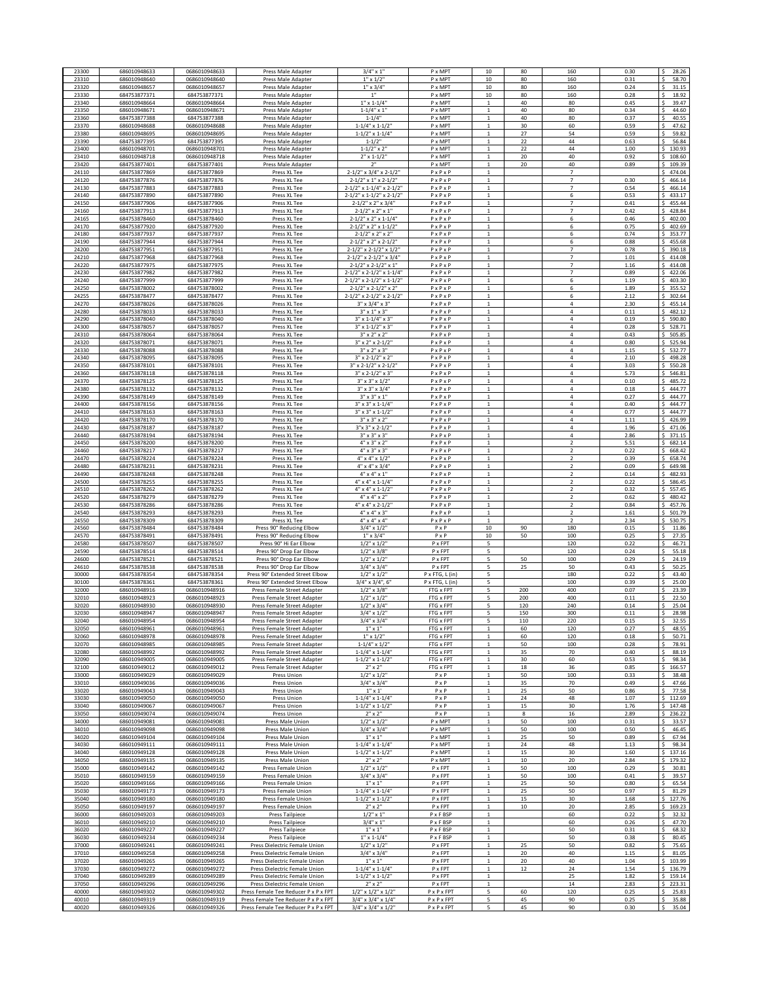| 23300          | 68601094863                  | 0686010948633                  | Press Male Adapter                                         | $3/4$ " x 1'                                        | P x MPT                                        | $10\,$                         | 80         | 160                                        | 0.30         | Ś<br>28.26                    |
|----------------|------------------------------|--------------------------------|------------------------------------------------------------|-----------------------------------------------------|------------------------------------------------|--------------------------------|------------|--------------------------------------------|--------------|-------------------------------|
| 23310          | 686010948640                 | 0686010948640                  | Press Male Adapter                                         | $1''$ x $1/2'$                                      | P x MPT                                        | 10                             | 80         | 160                                        | 0.31         | <sup>s</sup><br>58.70         |
| 23320          | 686010948657                 | 0686010948657                  | Press Male Adapter                                         | $1''$ x $3/4''$                                     | P x MPT                                        | $10\,$                         | 80         | 160                                        | 0.24         | 31.15                         |
| 23330          | 684753877371                 | 684753877371                   | Press Male Adapter                                         | 1"                                                  | P x MPT                                        | 10                             | 80         | 160                                        | 0.28         | 18.92                         |
| 23340          | 686010948664                 | 0686010948664                  | Press Male Adapter                                         | $1''$ x $1 - 1/4'$                                  | P x MPT                                        |                                | 40         | 80                                         | 0.45         | 39.47                         |
| 23350          | 686010948671                 | 0686010948671                  | Press Male Adapter                                         | $1 - 1/4$ " x 1                                     | P x MPT                                        |                                | 40         | 80                                         | 0.34         | 44.60                         |
| 23360          | 684753877388                 | 684753877388                   | Press Male Adapter                                         | $1 - 1/4"$                                          | P x MPT                                        | 1                              | 40         | 80                                         | 0.37         | 40.55                         |
| 23370          | 686010948688                 | 0686010948688                  | Press Male Adapter                                         | $1 - 1/4" \times 1 - 1/2"$                          | P x MPT                                        | $\mathbf{1}$                   | 30         | 60                                         | 0.59         | 47.62<br>Ŝ                    |
| 23380          | 686010948695                 | 0686010948695                  | Press Male Adapter                                         | $1 - 1/2" \times 1 - 1/4"$                          | P x MPT                                        |                                | 27         | 54                                         | 0.59         | 59.82                         |
| 23390          | 684753877395                 | 684753877395                   | Press Male Adapter                                         | $1 - 1/2"$                                          | P x MPT                                        |                                | 22         | 44                                         | 0.63         | 56.84<br>Ŝ                    |
| 23400          | 686010948701                 | 0686010948701                  | Press Male Adapter                                         | $1 - 1/2$ " x 2"                                    | P x MPT                                        |                                | 22         | 44                                         | 1.00         | Ś<br>130.93                   |
| 23410          | 686010948718                 | 0686010948718                  | Press Male Adapter                                         | $2'' \times 1 - 1/2''$                              | P x MPT                                        |                                | 20         | 40                                         | 0.92         | 108.60<br>¢                   |
| 23420          | 684753877401                 | 684753877401                   | Press Male Adapter                                         | 2"                                                  | P x MPT                                        | $\mathbf{1}$                   | 20         | 40                                         | 0.89         | 109.39<br>Ś                   |
| 24110          | 684753877869                 | 684753877869                   | Press XL Tee                                               | 2-1/2" x 3/4" x 2-1/2"                              | $P \times P \times P$                          | $\mathbf 1$                    |            | $\overline{7}$                             |              | 474.04<br>¢                   |
| 24120          | 684753877876<br>684753877883 | 684753877876                   | Press XL Tee<br>Press XL Tee                               | 2-1/2" x 1" x 2-1/2"                                | $P \times P \times P$                          |                                |            | $\overline{7}$<br>7                        | 0.30         | 466.14<br>Ŝ                   |
| 24130<br>24140 | 684753877890                 | 684753877883<br>684753877890   | Press XL Tee                                               | 2-1/2" x 1-1/4" x 2-1/2<br>2-1/2" x 1-1/2" x 2-1/2" | PxPxP<br>$P \times P \times P$                 |                                |            | 6                                          | 0.54<br>0.53 | 466.14<br>433.17              |
| 24150          | 684753877906                 | 684753877906                   | Press XL Tee                                               | 2-1/2" x 2" x 3/4"                                  | $P \times P \times P$                          | $\mathbf{1}$                   |            | $\overline{7}$                             | 0.41         | 455.44                        |
| 24160          | 684753877913                 | 684753877913                   | Press XL Tee                                               | $2 - 1/2$ " x 2" x 1"                               | $P \times P \times P$                          |                                |            | $\overline{7}$                             | 0.42         | 428.84                        |
| 24165          | 684753878460                 | 684753878460                   | Press XL Tee                                               | 2-1/2" x 2" x 1-1/4"                                | $P \times P \times P$                          | $\mathbf{1}$                   |            | 6                                          | 0.46         | 402.00<br>\$                  |
| 24170          | 684753877920                 | 684753877920                   | Press XL Tee                                               | 2-1/2" x 2" x 1-1/2"                                | $P \times P \times P$                          |                                |            | 6                                          | 0.75         | 402.69<br><b>s</b>            |
| 24180          | 684753877937                 | 684753877937                   | Press XL Tee                                               | $2 - 1/2" \times 2" \times 2"$                      | $P \times P \times P$                          |                                |            | 6                                          | 0.74         | 353.77<br>s                   |
| 24190          | 684753877944                 | 684753877944                   | Press XL Tee                                               | $2 - 1/2$ " x 2" x $2 - 1/2$ "                      | $P \times P \times P$                          |                                |            | 6                                          | 0.88         | s.<br>455.68                  |
| 24200          | 684753877951                 | 684753877951                   | Press XL Tee                                               | 2-1/2" x 2-1/2" x 1/2"                              | $P \times P \times P$                          | $\mathbf{1}$                   |            | $\overline{7}$                             | 0.78         | \$<br>390.18                  |
| 24210          | 684753877968                 | 684753877968                   | Press XL Tee                                               | 2-1/2" x 2-1/2" x 3/4"                              | $P \times P \times P$                          |                                |            | $\overline{7}$<br>$\overline{7}$           | 1.01         | 414.08                        |
| 24220<br>24230 | 684753877975<br>684753877982 | 684753877975<br>684753877982   | Press XL Tee<br>Press XL Tee                               | 2-1/2" x 2-1/2" x 1"<br>2-1/2" x 2-1/2" x 1-1/4'    | $P \times P \times P$<br>PxPxP                 | $\mathbf{1}$<br>$\mathbf{1}$   |            | $\overline{7}$                             | 1.16<br>0.89 | 414.08<br>×.<br>422.06        |
| 24240          | 684753877999                 | 684753877999                   | Press XL Tee                                               | 2-1/2" x 2-1/2" x 1-1/2"                            | PxPxP                                          |                                |            | 6                                          | 1.19         | 403.30                        |
| 24250          | 684753878002                 | 684753878002                   | Press XL Tee                                               | $2 - 1/2$ " x $2 - 1/2$ " x $2$ "                   | $P \times P \times P$                          |                                |            | 6                                          | 1.89         | 355.52                        |
| 24255          | 684753878477                 | 684753878477                   | Press XL Tee                                               | 2-1/2" x 2-1/2" x 2-1/2"                            | PxPxP                                          |                                |            | 6                                          | 2.12         | 302.64                        |
| 24270          | 684753878026                 | 684753878026                   | Press XL Tee                                               | $3'' \times 3/4'' \times 3''$                       | $P \times P \times P$                          |                                |            | $\overline{4}$                             | 2.30         | 455.14                        |
| 24280          | 684753878033                 | 684753878033                   | Press XL Tee                                               | $3" \times 1" \times 3"$                            | $P \times P \times P$                          | 1                              |            | $\overline{4}$                             | 0.11         | 482.12<br>\$                  |
| 24290          | 684753878040                 | 684753878040                   | Press XL Tee                                               | $3''$ x 1-1/4" x 3"                                 | $P \times P \times P$                          | $\mathbf{1}$                   |            | 4                                          | 0.19         | 590.80<br>\$                  |
| 24300          | 684753878057                 | 684753878057                   | Press XL Tee                                               | $3''$ x 1-1/2" x 3"                                 | $P \times P \times P$                          |                                |            | 4                                          | 0.28         | 528.71<br>s                   |
| 24310          | 684753878064                 | 684753878064                   | Press XL Tee                                               | $3'' \times 2'' \times 2''$                         | $P \times P \times P$                          | $\mathbf{1}$                   |            | 4                                          | 0.43         | 505.85<br>Ŝ.                  |
| 24320          | 684753878071                 | 684753878071                   | Press XL Tee                                               | $3''$ x $2''$ x $2 - 1/2''$                         | $P \times P \times P$                          |                                |            | $\overline{4}$                             | 0.80         | s.<br>525.94                  |
| 24330<br>24340 | 684753878088                 | 684753878088                   | Press XL Tee                                               | $3'' \times 2'' \times 3''$<br>$3''$ x 2-1/2" x 2"  | $P \times P \times P$                          | $\overline{1}$<br>$\mathbf{1}$ |            | $\overline{a}$<br>4                        | 1.15<br>2.10 | 532.77<br>Ś<br>498.28<br>Ś    |
| 24350          | 684753878095<br>684753878101 | 684753878095<br>684753878101   | Press XL Tee<br>Press XL Tee                               | $3''$ x 2-1/2" x 2-1/2"                             | $P \times P \times P$<br>$P \times P \times P$ | $\mathbf{1}$                   |            | $\overline{4}$                             | 3.03         | 550.28<br>$\hat{\phantom{a}}$ |
| 24360          | 684753878118                 | 684753878118                   | Press XL Tee                                               | $3''$ x 2-1/2" x 3'                                 | $P \times P \times P$                          |                                |            | $\overline{4}$                             | 5.73         | 546.81                        |
| 24370          | 684753878125                 | 684753878125                   | Press XL Tee                                               | $3'' \times 3'' \times 1/2'$                        | PxPxP                                          |                                |            | 4                                          | 0.10         | 485.72                        |
| 24380          | 684753878132                 | 684753878132                   | Press XL Tee                                               | $3" \times 3" \times 3/4"$                          | $P \times P \times P$                          |                                |            | 4                                          | 0.18         | 444.77                        |
| 24390          | 684753878149                 | 684753878149                   | Press XL Tee                                               | $3'' \times 3'' \times 1'$                          | $P \times P \times P$                          |                                |            | $\overline{4}$                             | 0.27         | 444.77                        |
| 24400          | 684753878156                 | 684753878156                   | Press XL Tee                                               | $3'' \times 3'' \times 1 - 1/4'$                    | PxPxP                                          |                                |            | $\bf{4}$                                   | 0.40         | 444.77                        |
| 24410          | 684753878163                 | 684753878163                   | Press XL Tee                                               | $3''$ x $3''$ x $1-1/2''$                           | $P \times P \times P$                          | $\mathbf{1}$                   |            | $\sqrt{4}$                                 | 0.77         | 444.77<br>\$                  |
| 24420          | 684753878170                 | 684753878170                   | Press XL Tee                                               | $3'' \times 3'' \times 2''$                         | $P \times P \times P$                          |                                |            | 4                                          | 1.11         | 426.99<br>s                   |
| 24430          | 684753878187                 | 684753878187                   | Press XL Tee                                               | $3''x 3''x 2-1/2$                                   | $P \times P \times P$                          |                                |            | 4                                          | 1.96         | 471.06<br>s                   |
| 24440          | 684753878194                 | 684753878194                   | Press XL Tee                                               | $3'' \times 3'' \times 3''$                         | $P \times P \times P$                          | $\mathbf{1}$                   |            | 4                                          | 2.86         | 371.15<br>s.                  |
| 24450<br>24460 | 684753878200<br>684753878217 | 684753878200<br>684753878217   | Press XL Tee<br>Press XL Tee                               | 4" x 3" x 2"<br>$4'' \times 3'' \times 3'$          | $P \times P \times P$<br>$P \times P \times P$ |                                |            | $\overline{2}$<br>$\overline{\phantom{a}}$ | 5.51<br>0.22 | \$<br>682.14<br>668.42        |
| 24470          | 684753878224                 | 684753878224                   | Press XL Tee                                               | $4'' \times 4'' \times 1/2'$                        | $P \times P \times P$                          | $\mathbf{1}$                   |            | $\overline{2}$                             | 0.39         | 658.74                        |
| 24480          | 684753878231                 | 684753878231                   | Press XL Tee                                               | 4" x 4" x 3/4'                                      | PxPxP                                          | $\mathbf{1}$                   |            | $\overline{2}$                             | 0.09         | 649.98                        |
| 24490          | 684753878248                 | 684753878248                   | Press XL Tee                                               | 4" x 4" x 1'                                        | PxPxP                                          |                                |            |                                            | 0.14         | 482.93                        |
| 24500          | 684753878255                 | 684753878255                   | Press XL Tee                                               | 4" x 4" x 1-1/4                                     | $P \times P \times P$                          |                                |            | 2                                          | 0.22         | 586.45                        |
| 24510          | 684753878262                 | 684753878262                   | Press XL Tee                                               | 4" x 4" x 1-1/2"                                    | PxPxP                                          |                                |            |                                            | 0.32         | 557.45                        |
| 24520          | 684753878279                 | 684753878279                   | Press XL Tee                                               | $4" \times 4" \times 2"$                            | $P \times P \times P$                          |                                |            | $\overline{2}$                             | 0.62         | 480.42                        |
| 24530          | 684753878286                 | 684753878286                   | Press XL Tee                                               | 4" x 4" x 2-1/2"                                    | $P \times P \times P$                          | $\mathbf{1}$                   |            | $\overline{\mathbf{2}}$                    | 0.84         | 457.76<br>\$                  |
| 24540          | 684753878293                 | 684753878293                   | Press XL Tee                                               | 4" x 4" x 3"                                        | $P \times P \times P$                          | $\mathbf{1}$                   |            | $\overline{2}$                             | 1.61         | 501.79<br>\$                  |
| 24550          | 684753878309                 | 684753878309                   | Press XL Tee                                               | 4" x 4" x 4"                                        | $P \times P \times P$                          |                                |            | $\overline{2}$                             | 2.34         | 530.75<br>s                   |
| 24560<br>24570 | 684753878484<br>684753878491 | 684753878484<br>684753878491   | Press 90° Reducing Elbow<br>Press 90° Reducing Elbow       | $3/4$ " x $1/2$ "<br>$1'' \times 3/4''$             | $P \times P$<br>PxP                            | 10<br>10                       | 90<br>50   | 180<br>100                                 | 0.15<br>0.25 | 11.86<br>Ŝ<br>Ś<br>27.35      |
| 24580          | 684753878507                 | 684753878507                   | Press 90° Hi Ear Elbow                                     | $1/2$ " x $1/2$                                     | P x FPT                                        | 5                              |            | 120                                        | 0.22         | 46.71                         |
| 24590          | 684753878514                 | 684753878514                   | Press 90° Drop Ear Elbow                                   | $\frac{1}{2}$ " x 3/8"                              | P x FPT                                        | 5                              |            | 120                                        | 0.24         | 55.18                         |
| 24600          | 684753878521                 | 684753878521                   | Press 90° Drop Ear Elbow                                   | $1/2$ " x $1/2$ "                                   | P x FPT                                        | 5                              | 50         | 100                                        | 0.29         | 24.19                         |
| 24610          | 684753878538                 | 684753878538                   | Press 90° Drop Ear Elbow                                   | $3/4" \times 3/4"$                                  | P x FPT                                        |                                | 25         | 50                                         | 0.43         | 50.25                         |
| 30000          | 684753878354                 | 684753878354                   | Press 90° Extended Street Elbow                            | $1/2$ " x $1/2$ "                                   | P x FTG, L (in)                                |                                |            | 180                                        | 0.22         | 43.40                         |
| 30100          | 684753878361                 | 684753878361                   | Press 90° Extended Street Elbow                            | 3/4" x 3/4", 6'                                     | P x FTG, L (in)                                |                                |            | 100                                        | 0.39         | 25.00                         |
| 32000          | 686010948916                 | 0686010948916                  | Press Female Street Adapter                                | $1/2$ " x $3/8$ "                                   | FTG x FPT                                      |                                | 200        | 400                                        | 0.07         | 23.39                         |
| 32010          | 686010948923                 | 0686010948923                  | Press Female Street Adapter                                | $1/2$ " x $1/2$ "                                   | FTG x FPT                                      | 5                              | 200        | 400                                        | 0.11         | 22.50                         |
| 32020          | 686010948930                 | 0686010948930                  | Press Female Street Adapter<br>Press Female Street Adapter | $1/2$ " x $3/4$ "                                   | FTG x FPT                                      | 5                              | 120        | 240                                        | 0.14         | 25.04<br>\$.                  |
| 32030<br>32040 | 686010948947<br>686010948954 | 0686010948947<br>0686010948954 | Press Female Street Adapter                                | $3/4" \times 1/2"$<br>$3/4" \times 3/4'$            | FTG x FPT<br>FTG x FPT                         | 5                              | 150<br>110 | 300<br>220                                 | 0.11<br>0.15 | 28.98<br>32.55                |
| 32050          | 686010948961                 | 0686010948961                  | Press Female Street Adapter                                | $1" \times 1"$                                      | FTG x FPT                                      | $\mathbf{1}$                   | 60         | 120                                        | 0.27         | <sup>s</sup><br>48.55         |
| 32060          | 686010948978                 | 0686010948978                  | Press Female Street Adapter                                | $1''$ x $1/2''$                                     | FTG x FPT                                      | $\mathbf{1}$                   | 60         | 120                                        | 0.18         | Ś<br>50.71                    |
| 32070          | 686010948985                 | 0686010948985                  | Press Female Street Adapter                                | $1 - 1/4" \times 1/2'$                              | FTG x FPT                                      |                                | 50         | 100                                        | 0.28         | 78.91                         |
| 32080          | 686010948992                 | 0686010948992                  | Press Female Street Adapter                                | $1 - 1/4$ " x $1 - 1/4$ "                           | FTG x FPT                                      |                                | 35         | 70                                         | 0.40         | 88.19                         |
| 32090          | 686010949005                 | 0686010949005                  | Press Female Street Adapter                                | $1 - 1/2$ " x $1 - 1/2$ "                           | FTG x FPT                                      | $\mathbf{1}$                   | 30         | 60                                         | 0.53         | 98.34<br>.s                   |
| 32100          | 686010949012                 | 0686010949012                  | Press Female Street Adapter                                | $2" \times 2"$                                      | FTG x FPT                                      |                                | 18         | 36                                         | 0.85         | 166.57                        |
| 33000<br>33010 | 686010949029<br>686010949036 | 0686010949029                  | Press Union                                                | $1/2$ " x $1/2$ "                                   | PxP<br>PxP                                     |                                | 50<br>35   | 100<br>70                                  | 0.33<br>0.49 | 38.48<br>.s<br>47.66          |
| 33020          | 686010949043                 | 0686010949036<br>0686010949043 | Press Union<br>Press Union                                 | $3/4" \times 3/4"$<br>$1''$ x $1'$                  | PxP                                            | 1                              | 25         | 50                                         | 0.86         | 77.58                         |
| 33030          | 686010949050                 | 0686010949050                  | Press Union                                                | $1 - 1/4" \times 1 - 1/4"$                          | $P \times P$                                   | $1\,$                          | 24         | 48                                         | 1.07         | 112.69<br>\$.                 |
| 33040          | 686010949067                 | 0686010949067                  | Press Union                                                | $1 - 1/2$ " x $1 - 1/2$ "                           | PxP                                            | $\mathbf{1}$                   | 15         | 30                                         | 1.76         | \$<br>147.48                  |
| 33050          | 686010949074                 | 0686010949074                  | Press Union                                                | $2" \times 2"$                                      | PxP                                            | $\mathbf{1}$                   | 8          | 16                                         | 2.89         | 236.22<br>s                   |
| 34000          | 686010949081                 | 0686010949081                  | Press Male Union                                           | $1/2$ " x $1/2$ "                                   | P x MPT                                        | $\mathbf{1}$                   | 50         | 100                                        | 0.31         | 33.57<br>Ŝ                    |
| 34010          | 686010949098                 | 0686010949098                  | Press Male Union                                           | $3/4" \times 3/4"$                                  | P x MPT                                        | $\mathbf{1}$                   | 50         | 100                                        | 0.50         | <sup>s</sup><br>46.45         |
| 34020          | 686010949104                 | 0686010949104                  | Press Male Union                                           | $1^{\rm o} \times 1^{\rm o}$                        | P x MPT                                        | $\overline{1}$                 | 25         | 50                                         | 0.89         | ¢<br>67.94                    |
| 34030          | 686010949111                 | 0686010949111                  | Press Male Union                                           | $1 - 1/4" \times 1 - 1/4"$                          | P x MPT                                        | $\mathbf{1}$<br>$\overline{1}$ | 24         | 48                                         | 1.13         | 98.34<br>Ś                    |
| 34040<br>34050 | 686010949128<br>686010949135 | 0686010949128<br>0686010949135 | Press Male Union<br>Press Male Union                       | $1 - 1/2"$ x $1 - 1/2"$<br>$2" \times 2"$           | P x MPT<br>P x MPT                             |                                | 15<br>10   | 30<br>20                                   | 1.60<br>2.84 | 137.16<br>.s<br>179.32        |
| 35000          | 686010949142                 | 0686010949142                  | Press Female Union                                         | $1/2$ " x $1/2$ "                                   | P x FPT                                        |                                | 50         | 100                                        | 0.29         | 30.81                         |
| 35010          | 686010949159                 | 0686010949159                  | Press Female Union                                         | $3/4" \times 3/4"$                                  | P x FPT                                        |                                | 50         | 100                                        | 0.41         | 39.57                         |
| 35020          | 686010949166                 | 0686010949166                  | Press Female Union                                         | $1$ " x $1$ "                                       | P x FPT                                        | 1                              | 25         | 50                                         | 0.80         | 65.54                         |
| 35030          | 686010949173                 | 0686010949173                  | Press Female Union                                         | $1 - 1/4" \times 1 - 1/4"$                          | $P \times FPT$                                 | 1                              | 25         | 50                                         | 0.97         | 81.29<br>S                    |
| 35040          | 686010949180                 | 0686010949180                  | Press Female Union                                         | $1 - 1/2"$ x $1 - 1/2"$                             | P x FPT                                        | $1\,$                          | 15         | 30                                         | 1.68         | 127.76<br>\$.                 |
| 35050          | 686010949197                 | 0686010949197                  | Press Female Union                                         | $2" \times 2"$                                      | P x FPT                                        |                                | 10         | 20                                         | 2.85         | 169.23<br>Ŝ                   |
| 36000          | 686010949203                 | 0686010949203                  | <b>Press Tailpiece</b>                                     | $1/2$ " x 1"                                        | P x F BSP                                      | $\mathbf{1}$                   |            | 60                                         | 0.22         | 32.32                         |
| 36010          | 686010949210                 | 0686010949210                  | <b>Press Tailpiece</b>                                     | $3/4$ " x 1"                                        | P x F BSP                                      | $\mathbf{1}$                   |            | 60                                         | 0.26         | <sup>s</sup><br>47.70         |
| 36020<br>36030 | 686010949227<br>686010949234 | 0686010949227<br>0686010949234 | Press Tailpiece<br><b>Press Tailpiece</b>                  | $1"$ x $1"$<br>$1"$ x $1-1/4"$                      | P x F BSP<br>P x F BSP                         | $\mathbf{1}$                   |            | 50<br>50                                   | 0.31<br>0.38 | Ś<br>68.32<br>80.45           |
| 37000          | 686010949241                 | 0686010949241                  | Press Dielectric Female Union                              | $1/2$ " x $1/2$ "                                   | P x FPT                                        |                                | 25         | 50                                         | 0.82         | 75.65                         |
| 37010          | 686010949258                 | 0686010949258                  | Press Dielectric Female Union                              | $3/4" \times 3/4"$                                  | P x FPT                                        | $\mathbf{1}$                   | 20         | 40                                         | 1.15         | 81.05<br>.s                   |
| 37020          | 686010949265                 | 0686010949265                  | Press Dielectric Female Union                              | $1" \times 1"$                                      | P x FPT                                        |                                | 20         | 40                                         | 1.04         | 103.99                        |
| 37030          | 686010949272                 | 0686010949272                  | Press Dielectric Female Union                              | $1 - 1/4" \times 1 - 1/4"$                          | P x FPT                                        | 1                              | 12         | 24                                         | 1.54         | 136.79                        |
| 37040          | 686010949289                 | 0686010949289                  | Press Dielectric Female Union                              | $1 - 1/2$ " x $1 - 1/2$ "                           | P x FPT                                        | 1                              |            | 25                                         | 1.82         | 159.14                        |
| 37050          | 686010949296                 | 0686010949296                  | Press Dielectric Female Union                              | $2" \times 2"$                                      | $P \times FPT$                                 | 1                              |            | 14                                         | 2.83         | 223.31<br>Ś                   |
| 40000          | 686010949302                 | 0686010949302                  | Press Female Tee Reducer P x P x FPT                       | $1/2$ " x $1/2$ " x $1/2$ "                         | P x P x FPT                                    | 5                              | 60         | 120                                        | 0.25         | \$.<br>25.83                  |
|                | 686010949319                 | 0686010949319                  | Press Female Tee Reducer P x P x FPT                       | $3/4$ " x $3/4$ " x $1/4$ "                         | P x P x FPT                                    | 5                              | 45         | 90                                         | 0.25         | \$<br>35.88                   |
| 40010<br>40020 | 686010949326                 | 0686010949326                  | Press Female Tee Reducer P x P x FPT                       | $3/4$ " x $3/4$ " x $1/2$ "                         | P x P x FPT                                    | 5                              | 45         | 90                                         | 0.30         | 35.04<br>.s                   |